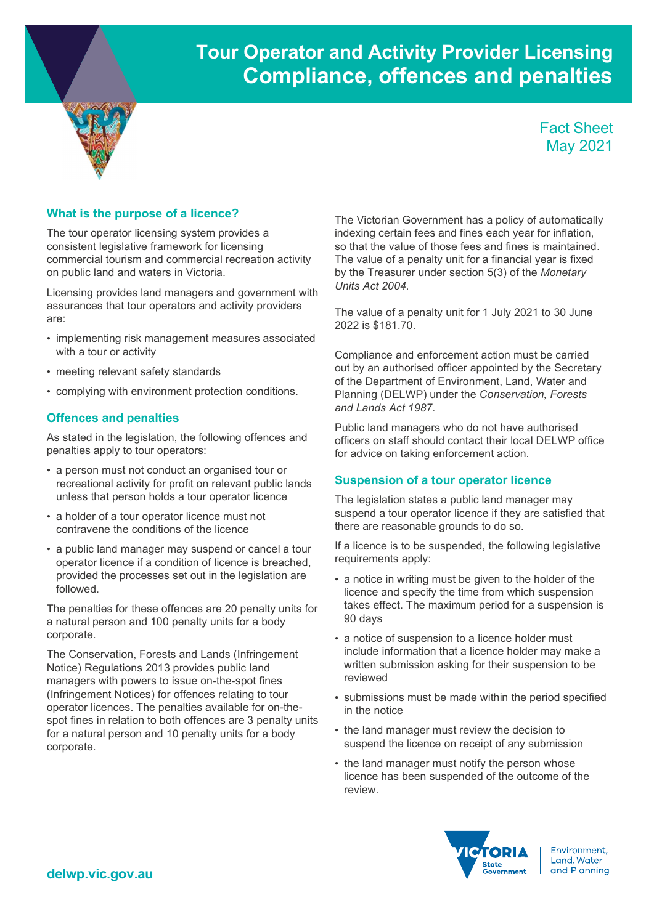# Tour Operator and Activity Provider Licensing Compliance, offences and penalties

Fact Sheet May 2021

# What is the purpose of a licence?

The tour operator licensing system provides a consistent legislative framework for licensing commercial tourism and commercial recreation activity on public land and waters in Victoria.

Licensing provides land managers and government with assurances that tour operators and activity providers are:

- implementing risk management measures associated with a tour or activity
- meeting relevant safety standards
- complying with environment protection conditions.

# Offences and penalties

As stated in the legislation, the following offences and penalties apply to tour operators:

- a person must not conduct an organised tour or recreational activity for profit on relevant public lands unless that person holds a tour operator licence
- a holder of a tour operator licence must not contravene the conditions of the licence
- a public land manager may suspend or cancel a tour operator licence if a condition of licence is breached, provided the processes set out in the legislation are followed.

The penalties for these offences are 20 penalty units for a natural person and 100 penalty units for a body corporate.

The Conservation, Forests and Lands (Infringement Notice) Regulations 2013 provides public land managers with powers to issue on-the-spot fines (Infringement Notices) for offences relating to tour operator licences. The penalties available for on-thespot fines in relation to both offences are 3 penalty units for a natural person and 10 penalty units for a body corporate.

The Victorian Government has a policy of automatically indexing certain fees and fines each year for inflation, so that the value of those fees and fines is maintained. The value of a penalty unit for a financial year is fixed by the Treasurer under section 5(3) of the Monetary Units Act 2004.

The value of a penalty unit for 1 July 2021 to 30 June 2022 is \$181.70.

Compliance and enforcement action must be carried out by an authorised officer appointed by the Secretary of the Department of Environment, Land, Water and Planning (DELWP) under the Conservation, Forests and Lands Act 1987.

Public land managers who do not have authorised officers on staff should contact their local DELWP office for advice on taking enforcement action.

## Suspension of a tour operator licence

The legislation states a public land manager may suspend a tour operator licence if they are satisfied that there are reasonable grounds to do so.

If a licence is to be suspended, the following legislative requirements apply:

- a notice in writing must be given to the holder of the licence and specify the time from which suspension takes effect. The maximum period for a suspension is 90 days
- a notice of suspension to a licence holder must include information that a licence holder may make a written submission asking for their suspension to be reviewed
- submissions must be made within the period specified in the notice
- the land manager must review the decision to suspend the licence on receipt of any submission
- the land manager must notify the person whose licence has been suspended of the outcome of the review.



Environment. Land, Water and Planning